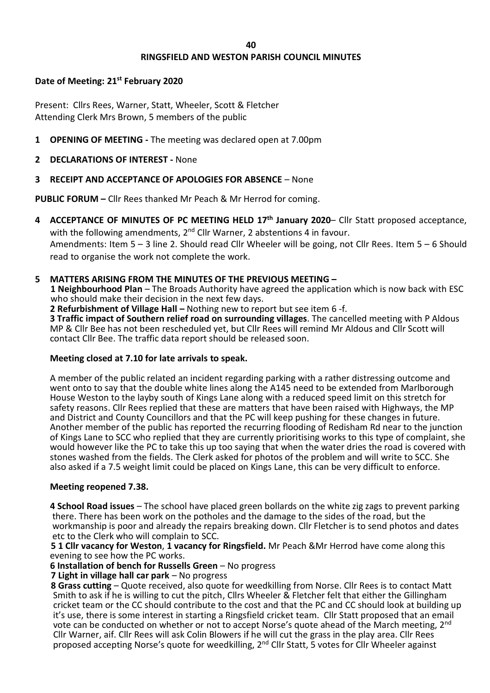# **RINGSFIELD AND WESTON PARISH COUNCIL MINUTES**

# **Date of Meeting: 21st February 2020**

Present: Cllrs Rees, Warner, Statt, Wheeler, Scott & Fletcher Attending Clerk Mrs Brown, 5 members of the public

- **1 OPENING OF MEETING -** The meeting was declared open at 7.00pm
- **2 DECLARATIONS OF INTEREST -** None
- **3 RECEIPT AND ACCEPTANCE OF APOLOGIES FOR ABSENCE** None

**PUBLIC FORUM –** Cllr Rees thanked Mr Peach & Mr Herrod for coming.

- **4 ACCEPTANCE OF MINUTES OF PC MEETING HELD 17th January 2020** Cllr Statt proposed acceptance, with the following amendments, 2<sup>nd</sup> Cllr Warner, 2 abstentions 4 in favour. Amendments: Item 5 – 3 line 2. Should read Cllr Wheeler will be going, not Cllr Rees. Item 5 – 6 Should read to organise the work not complete the work.
- **5 MATTERS ARISING FROM THE MINUTES OF THE PREVIOUS MEETING –**

**1 Neighbourhood Plan** – The Broads Authority have agreed the application which is now back with ESC who should make their decision in the next few days.

 **2 Refurbishment of Village Hall –** Nothing new to report but see item 6 -f.

**3 Traffic impact of Southern relief road on surrounding villages**. The cancelled meeting with P Aldous MP & Cllr Bee has not been rescheduled yet, but Cllr Rees will remind Mr Aldous and Cllr Scott will contact Cllr Bee. The traffic data report should be released soon.

# **Meeting closed at 7.10 for late arrivals to speak.**

A member of the public related an incident regarding parking with a rather distressing outcome and went onto to say that the double white lines along the A145 need to be extended from Marlborough House Weston to the layby south of Kings Lane along with a reduced speed limit on this stretch for safety reasons. Cllr Rees replied that these are matters that have been raised with Highways, the MP and District and County Councillors and that the PC will keep pushing for these changes in future. Another member of the public has reported the recurring flooding of Redisham Rd near to the junction of Kings Lane to SCC who replied that they are currently prioritising works to this type of complaint, she would however like the PC to take this up too saying that when the water dries the road is covered with stones washed from the fields. The Clerk asked for photos of the problem and will write to SCC. She also asked if a 7.5 weight limit could be placed on Kings Lane, this can be very difficult to enforce.

# **Meeting reopened 7.38.**

 **4 School Road issues** – The school have placed green bollards on the white zig zags to prevent parking there. There has been work on the potholes and the damage to the sides of the road, but the workmanship is poor and already the repairs breaking down. Cllr Fletcher is to send photos and dates etc to the Clerk who will complain to SCC.

 **5 1 Cllr vacancy for Weston**, **1 vacancy for Ringsfield.** Mr Peach &Mr Herrod have come along this evening to see how the PC works.

**6 Installation of bench for Russells Green** – No progress

 **7 Light in village hall car park** – No progress

 **8 Grass cutting** – Quote received, also quote for weedkilling from Norse. Cllr Rees is to contact Matt Smith to ask if he is willing to cut the pitch, Cllrs Wheeler & Fletcher felt that either the Gillingham cricket team or the CC should contribute to the cost and that the PC and CC should look at building up it's use, there is some interest in starting a Ringsfield cricket team. Cllr Statt proposed that an email vote can be conducted on whether or not to accept Norse's quote ahead of the March meeting, 2<sup>nd</sup> Cllr Warner, aif. Cllr Rees will ask Colin Blowers if he will cut the grass in the play area. Cllr Rees proposed accepting Norse's quote for weedkilling, 2<sup>nd</sup> Cllr Statt, 5 votes for Cllr Wheeler against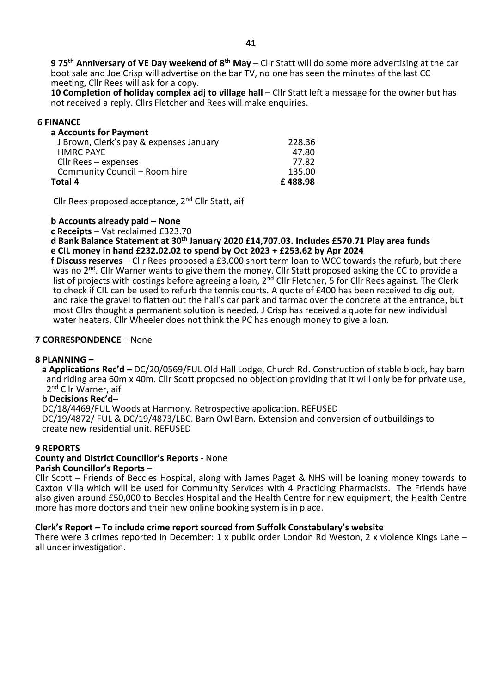**9 75th Anniversary of VE Day weekend of 8th May** – Cllr Statt will do some more advertising at the car boot sale and Joe Crisp will advertise on the bar TV, no one has seen the minutes of the last CC meeting, Cllr Rees will ask for a copy.

 **10 Completion of holiday complex adj to village hall** – Cllr Statt left a message for the owner but has not received a reply. Cllrs Fletcher and Rees will make enquiries.

### **6 FINANCE**

| a Accounts for Payment                  |         |
|-----------------------------------------|---------|
| J Brown, Clerk's pay & expenses January | 228.36  |
| <b>HMRC PAYE</b>                        | 47.80   |
| Cllr Rees $-$ expenses                  | 77.82   |
| Community Council - Room hire           | 135.00  |
| Total 4                                 | £488.98 |

Cllr Rees proposed acceptance, 2nd Cllr Statt, aif

 **b Accounts already paid – None**

 **c Receipts** – Vat reclaimed £323.70

 **d Bank Balance Statement at 30th January 2020 £14,707.03. Includes £570.71 Play area funds e CIL money in hand £232.02.02 to spend by Oct 2023 + £253.62 by Apr 2024**

 **f Discuss reserves** – Cllr Rees proposed a £3,000 short term loan to WCC towards the refurb, but there was no 2<sup>nd</sup>. Cllr Warner wants to give them the money. Cllr Statt proposed asking the CC to provide a list of projects with costings before agreeing a loan, 2<sup>nd</sup> Cllr Fletcher, 5 for Cllr Rees against. The Clerk to check if CIL can be used to refurb the tennis courts. A quote of £400 has been received to dig out, and rake the gravel to flatten out the hall's car park and tarmac over the concrete at the entrance, but most Cllrs thought a permanent solution is needed. J Crisp has received a quote for new individual water heaters. Cllr Wheeler does not think the PC has enough money to give a loan.

### **7 CORRESPONDENCE** – None

#### **8 PLANNING –**

 **a Applications Rec'd –** DC/20/0569/FUL Old Hall Lodge, Church Rd. Construction of stable block, hay barn and riding area 60m x 40m. Cllr Scott proposed no objection providing that it will only be for private use, 2<sup>nd</sup> Cllr Warner, aif

#### **b Decisions Rec'd–**

DC/18/4469/FUL Woods at Harmony. Retrospective application. REFUSED DC/19/4872/ FUL & DC/19/4873/LBC. Barn Owl Barn. Extension and conversion of outbuildings to create new residential unit. REFUSED

# **9 REPORTS**

#### **County and District Councillor's Reports** - None **Parish Councillor's Reports** –

Cllr Scott – Friends of Beccles Hospital, along with James Paget & NHS will be loaning money towards to Caxton Villa which will be used for Community Services with 4 Practicing Pharmacists. The Friends have also given around £50,000 to Beccles Hospital and the Health Centre for new equipment, the Health Centre more has more doctors and their new online booking system is in place.

### **Clerk's Report – To include crime report sourced from Suffolk Constabulary's website**

There were 3 crimes reported in December: 1 x public order London Rd Weston, 2 x violence Kings Lane – all under investigation.